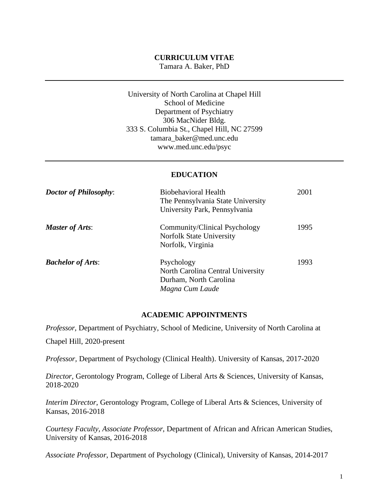#### **CURRICULUM VITAE** Tamara A. Baker, PhD

University of North Carolina at Chapel Hill School of Medicine Department of Psychiatry 306 MacNider Bldg. 333 S. Columbia St., Chapel Hill, NC 27599 [tamara\\_baker@med.unc.edu](mailto:tamara_baker@med.unc.edu)  [www.med.unc.edu/psyc](http://www.med.unc.edu/psyc)

## **EDUCATION**

| <b>Doctor of Philosophy:</b> | <b>Biobehavioral Health</b><br>The Pennsylvania State University<br>University Park, Pennsylvania | 2001 |
|------------------------------|---------------------------------------------------------------------------------------------------|------|
| <b>Master of Arts:</b>       | Community/Clinical Psychology<br><b>Norfolk State University</b><br>Norfolk, Virginia             | 1995 |
| <b>Bachelor of Arts:</b>     | Psychology<br>North Carolina Central University<br>Durham, North Carolina<br>Magna Cum Laude      | 1993 |

#### **ACADEMIC APPOINTMENTS**

*Professor,* Department of Psychiatry, School of Medicine, University of North Carolina at

Chapel Hill, 2020-present

*Professor,* Department of Psychology (Clinical Health). University of Kansas, 2017-2020

*Director,* Gerontology Program, College of Liberal Arts & Sciences, University of Kansas, 2018-2020

*Interim Director*, Gerontology Program, College of Liberal Arts & Sciences, University of Kansas, 2016-2018

*Courtesy Faculty, Associate Professor*, Department of African and African American Studies, University of Kansas, 2016-2018

*Associate Professor*, Department of Psychology (Clinical), University of Kansas, 2014-2017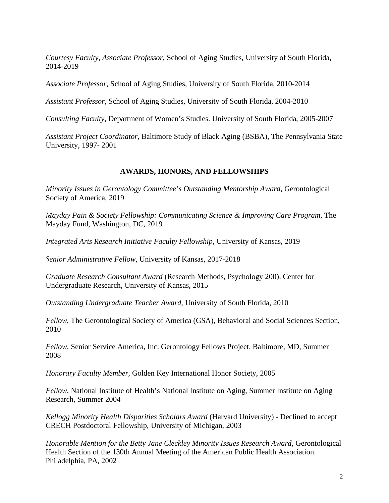*Courtesy Faculty, Associate Professor*, School of Aging Studies, University of South Florida, 2014-2019

*Associate Professor*, School of Aging Studies, University of South Florida, 2010-2014

*Assistant Professor*, School of Aging Studies, University of South Florida, 2004-2010

*Consulting Faculty*, Department of Women's Studies. University of South Florida, 2005-2007

*Assistant Project Coordinator*, Baltimore Study of Black Aging (BSBA), The Pennsylvania State University, 1997- 2001

#### **AWARDS, HONORS, AND FELLOWSHIPS**

*Minority Issues in Gerontology Committee's Outstanding Mentorship Award,* Gerontological Society of America, 2019

*Mayday Pain & Society Fellowship: Communicating Science & Improving Care Program, The* Mayday Fund, Washington, DC, 2019

*Integrated Arts Research Initiative Faculty Fellowship,* University of Kansas, 2019

*Senior Administrative Fellow*, University of Kansas, 2017-2018

*Graduate Research Consultant Award* (Research Methods, Psychology 200). Center for Undergraduate Research, University of Kansas, 2015

*Outstanding Undergraduate Teacher Award*, University of South Florida, 2010

*Fellow*, The Gerontological Society of America (GSA), Behavioral and Social Sciences Section, 2010

*Fellow,* Senior Service America, Inc. Gerontology Fellows Project, Baltimore, MD, Summer 2008

*Honorary Faculty Member,* Golden Key International Honor Society, 2005

*Fellow,* National Institute of Health's National Institute on Aging, Summer Institute on Aging Research, Summer 2004

*Kellogg Minority Health Disparities Scholars Award* (Harvard University) - Declined to accept CRECH Postdoctoral Fellowship, University of Michigan, 2003

*Honorable Mention for the Betty Jane Cleckley Minority Issues Research Award*, Gerontological Health Section of the 130th Annual Meeting of the American Public Health Association. Philadelphia, PA, 2002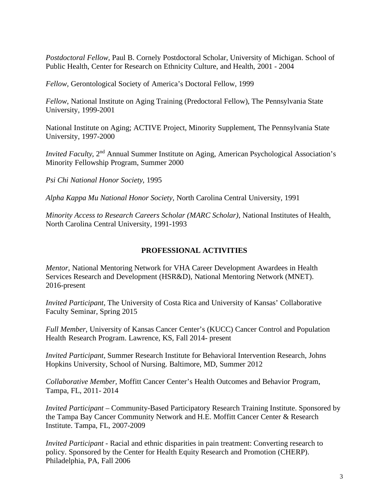*Postdoctoral Fellow,* Paul B. Cornely Postdoctoral Scholar, University of Michigan. School of Public Health, Center for Research on Ethnicity Culture, and Health, 2001 - 2004

*Fellow,* Gerontological Society of America's Doctoral Fellow, 1999

*Fellow*, National Institute on Aging Training (Predoctoral Fellow), The Pennsylvania State University, 1999-2001

National Institute on Aging; ACTIVE Project, Minority Supplement, The Pennsylvania State University, 1997-2000

*Invited Faculty*, 2<sup>nd</sup> Annual Summer Institute on Aging, American Psychological Association's Minority Fellowship Program, Summer 2000

*Psi Chi National Honor Society*, 1995

*Alpha Kappa Mu National Honor Society*, North Carolina Central University, 1991

*Minority Access to Research Careers Scholar (MARC Scholar)*, National Institutes of Health, North Carolina Central University, 1991-1993

## **PROFESSIONAL ACTIVITIES**

*Mentor,* National Mentoring Network for VHA Career Development Awardees in Health Services Research and Development (HSR&D), National Mentoring Network (MNET). 2016-present

*Invited Participant,* The University of Costa Rica and University of Kansas' Collaborative Faculty Seminar, Spring 2015

*Full Member,* University of Kansas Cancer Center's (KUCC) Cancer Control and Population Health Research Program. Lawrence, KS, Fall 2014- present

*Invited Participant*, Summer Research Institute for Behavioral Intervention Research, Johns Hopkins University, School of Nursing. Baltimore, MD, Summer 2012

*Collaborative Member,* Moffitt Cancer Center's Health Outcomes and Behavior Program, Tampa, FL, 2011- 2014

*Invited Participant –* Community-Based Participatory Research Training Institute. Sponsored by the Tampa Bay Cancer Community Network and H.E. Moffitt Cancer Center & Research Institute. Tampa, FL, 2007-2009

*Invited Participant -* Racial and ethnic disparities in pain treatment: Converting research to policy. Sponsored by the Center for Health Equity Research and Promotion (CHERP). Philadelphia, PA, Fall 2006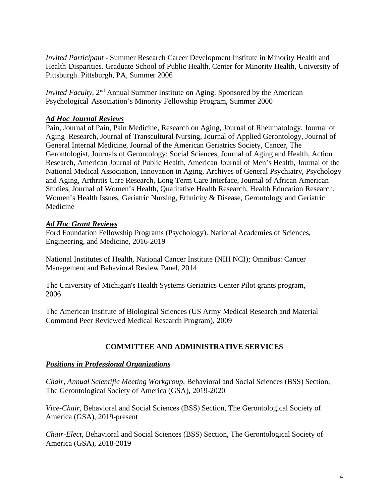*Invited Participant* - Summer Research Career Development Institute in Minority Health and Health Disparities. Graduate School of Public Health, Center for Minority Health, University of Pittsburgh. Pittsburgh, PA, Summer 2006

*Invited Faculty*, 2<sup>nd</sup> Annual Summer Institute on Aging. Sponsored by the American Psychological Association's Minority Fellowship Program, Summer 2000

## *Ad Hoc Journal Reviews*

Pain, Journal of Pain, Pain Medicine, Research on Aging, Journal of Rheumatology, Journal of Aging Research, Journal of Transcultural Nursing, Journal of Applied Gerontology, Journal of General Internal Medicine, Journal of the American Geriatrics Society, Cancer, The Gerontologist, Journals of Gerontology: Social Sciences, Journal of Aging and Health, Action Research, American Journal of Public Health, American Journal of Men's Health, Journal of the National Medical Association, Innovation in Aging, Archives of General Psychiatry, Psychology and Aging, Arthritis Care Research, Long Term Care Interface, Journal of African American Studies, Journal of Women's Health, Qualitative Health Research, Health Education Research, Women's Health Issues, Geriatric Nursing, Ethnicity & Disease, Gerontology and Geriatric Medicine

## *Ad Hoc Grant Reviews*

Ford Foundation Fellowship Programs (Psychology). National Academies of Sciences, Engineering, and Medicine, 2016-2019

National Institutes of Health, National Cancer Institute (NIH NCI); Omnibus: Cancer Management and Behavioral Review Panel, 2014

The University of Michigan's Health Systems Geriatrics Center Pilot grants program, 2006

The American Institute of Biological Sciences (US Army Medical Research and Material Command Peer Reviewed Medical Research Program), 2009

# **COMMITTEE AND ADMINISTRATIVE SERVICES**

### *Positions in Professional Organizations*

*Chair, Annual Scientific Meeting Workgroup,* Behavioral and Social Sciences (BSS) Section, The Gerontological Society of America (GSA), 2019-2020

*Vice-Chair,* Behavioral and Social Sciences (BSS) Section, The Gerontological Society of America (GSA), 2019-present

*Chair-Elect,* Behavioral and Social Sciences (BSS) Section, The Gerontological Society of America (GSA), 2018-2019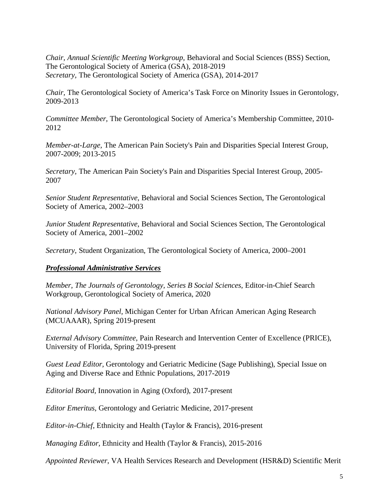*Chair, Annual Scientific Meeting Workgroup,* Behavioral and Social Sciences (BSS) Section, The Gerontological Society of America (GSA), 2018-2019 *Secretary,* The Gerontological Society of America (GSA), 2014-2017

*Chair,* The Gerontological Society of America's Task Force on Minority Issues in Gerontology, 2009-2013

*Committee Member,* The Gerontological Society of America's Membership Committee, 2010- 2012

*Member-at-Large,* The American Pain Society's Pain and Disparities Special Interest Group, 2007-2009; 2013-2015

*Secretary,* The American Pain Society's Pain and Disparities Special Interest Group, 2005- 2007

*Senior Student Representative*, Behavioral and Social Sciences Section, The Gerontological Society of America, 2002–2003

*Junior Student Representative*, Behavioral and Social Sciences Section, The Gerontological Society of America, 2001–2002

*Secretary*, Student Organization, The Gerontological Society of America, 2000–2001

### *Professional Administrative Services*

*Member, The Journals of Gerontology, Series B Social Sciences*, Editor-in-Chief Search Workgroup, Gerontological Society of America, 2020

*National Advisory Panel,* Michigan Center for Urban African American Aging Research (MCUAAAR), Spring 2019-present

*External Advisory Committee*, Pain Research and Intervention Center of Excellence (PRICE), University of Florida, Spring 2019-present

*Guest Lead Editor,* Gerontology and Geriatric Medicine (Sage Publishing), Special Issue on Aging and Diverse Race and Ethnic Populations, 2017-2019

*Editorial Board,* Innovation in Aging (Oxford), 2017-present

*Editor Emeritus*, Gerontology and Geriatric Medicine, 2017-present

*Editor-in-Chief,* Ethnicity and Health (Taylor & Francis), 2016-present

*Managing Editor,* Ethnicity and Health (Taylor & Francis), 2015-2016

*Appointed Reviewer*, VA Health Services Research and Development (HSR&D) Scientific Merit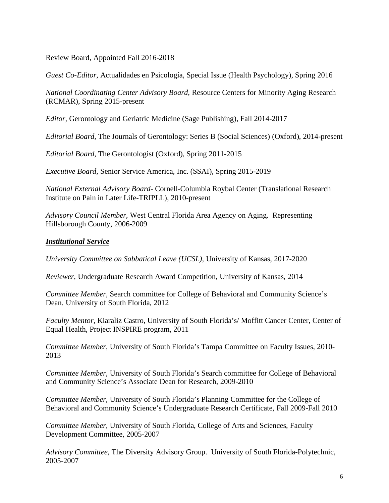Review Board, Appointed Fall 2016-2018

*Guest Co-Editor,* Actualidades en Psicología, Special Issue (Health Psychology), Spring 2016

*National Coordinating Center Advisory Board,* Resource Centers for Minority Aging Research (RCMAR), Spring 2015-present

*Editor,* Gerontology and Geriatric Medicine (Sage Publishing), Fall 2014-2017

*Editorial Board,* The Journals of Gerontology: Series B (Social Sciences) (Oxford), 2014-present

*Editorial Board,* The Gerontologist (Oxford), Spring 2011-2015

*Executive Board,* Senior Service America, Inc. (SSAI), Spring 2015-2019

*National External Advisory Board*- Cornell-Columbia Roybal Center (Translational Research Institute on Pain in Later Life-TRIPLL), 2010-present

*Advisory Council Member,* West Central Florida Area Agency on Aging. Representing Hillsborough County, 2006-2009

# *Institutional Service*

*University Committee on Sabbatical Leave (UCSL),* University of Kansas, 2017-2020

*Reviewer,* Undergraduate Research Award Competition, University of Kansas, 2014

*Committee Member,* Search committee for College of Behavioral and Community Science's Dean. University of South Florida, 2012

*Faculty Mentor,* Kiaraliz Castro, University of South Florida's/ Moffitt Cancer Center, Center of Equal Health, Project INSPIRE program, 2011

*Committee Member,* University of South Florida's Tampa Committee on Faculty Issues, 2010- 2013

*Committee Member,* University of South Florida's Search committee for College of Behavioral and Community Science's Associate Dean for Research, 2009-2010

*Committee Member,* University of South Florida's Planning Committee for the College of Behavioral and Community Science's Undergraduate Research Certificate, Fall 2009-Fall 2010

*Committee Member,* University of South Florida, College of Arts and Sciences, Faculty Development Committee, 2005-2007

*Advisory Committee,* The Diversity Advisory Group. University of South Florida-Polytechnic, 2005-2007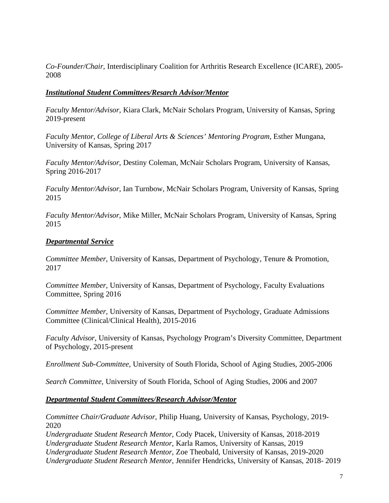*Co-Founder/Chair,* Interdisciplinary Coalition for Arthritis Research Excellence (ICARE), 2005- 2008

## *Institutional Student Committees/Resarch Advisor/Mentor*

*Faculty Mentor/Advisor,* Kiara Clark, McNair Scholars Program, University of Kansas, Spring 2019-present

*Faculty Mentor, College of Liberal Arts & Sciences' Mentoring Program, Esther Mungana,* University of Kansas, Spring 2017

*Faculty Mentor/Advisor*, Destiny Coleman, McNair Scholars Program, University of Kansas, Spring 2016-2017

*Faculty Mentor/Advisor*, Ian Turnbow, McNair Scholars Program, University of Kansas, Spring 2015

*Faculty Mentor/Advisor*, Mike Miller, McNair Scholars Program, University of Kansas, Spring 2015

## *Departmental Service*

*Committee Member,* University of Kansas, Department of Psychology, Tenure & Promotion, 2017

*Committee Member,* University of Kansas, Department of Psychology, Faculty Evaluations Committee, Spring 2016

*Committee Member,* University of Kansas, Department of Psychology, Graduate Admissions Committee (Clinical/Clinical Health), 2015-2016

*Faculty Advisor,* University of Kansas, Psychology Program's Diversity Committee, Department of Psychology, 2015-present

*Enrollment Sub-Committee,* University of South Florida, School of Aging Studies, 2005-2006

*Search Committee,* University of South Florida, School of Aging Studies, 2006 and 2007

### *Departmental Student Committees/Research Advisor/Mentor*

*Committee Chair/Graduate Advisor,* Philip Huang, University of Kansas, Psychology, 2019- 2020

*Undergraduate Student Research Mentor,* Cody Ptacek, University of Kansas, 2018-2019 *Undergraduate Student Research Mentor,* Karla Ramos, University of Kansas, 2019 *Undergraduate Student Research Mentor,* Zoe Theobald, University of Kansas, 2019-2020 *Undergraduate Student Research Mentor,* Jennifer Hendricks, University of Kansas, 2018- 2019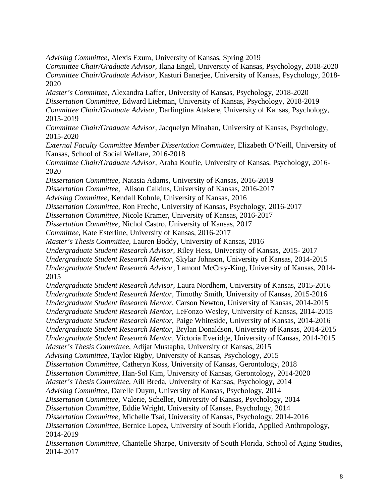*Advising Committee*, Alexis Exum, University of Kansas, Spring 2019 *Committee Chair/Graduate Advisor,* Ilana Engel, University of Kansas, Psychology, 2018-2020 *Committee Chair/Graduate Advisor,* Kasturi Banerjee, University of Kansas, Psychology, 2018- 2020 *Master's Committee,* Alexandra Laffer, University of Kansas, Psychology, 2018-2020 *Dissertation Committee,* Edward Liebman, University of Kansas, Psychology, 2018-2019 *Committee Chair/Graduate Advisor,* Darlingtina Atakere, University of Kansas, Psychology, 2015-2019 *Committee Chair/Graduate Advisor,* Jacquelyn Minahan, University of Kansas, Psychology, 2015-2020 *External Faculty Committee Member Dissertation Committee,* Elizabeth O'Neill, University of Kansas, School of Social Welfare, 2016-2018 *Committee Chair/Graduate Advisor,* Araba Koufie, University of Kansas, Psychology, 2016- 2020 *Dissertation Committee,* Natasia Adams, University of Kansas, 2016-2019 *Dissertation Committee,* Alison Calkins, University of Kansas, 2016-2017 *Advising Committee*, Kendall Kohnle, University of Kansas, 2016 *Dissertation Committee,* Ron Freche, University of Kansas, Psychology, 2016-2017 *Dissertation Committee*, Nicole Kramer, University of Kansas, 2016-2017 *Dissertation Committee*, Nichol Castro, University of Kansas, 2017 *Committee*, Kate Esterline, University of Kansas, 2016-2017 *Master's Thesis Committee,* Lauren Boddy, University of Kansas, 2016 *Undergraduate Student Research Advisor,* Riley Hess, University of Kansas, 2015- 2017 *Undergraduate Student Research Mentor,* Skylar Johnson, University of Kansas, 2014-2015 *Undergraduate Student Research Advisor,* Lamont McCray-King, University of Kansas, 2014- 2015 *Undergraduate Student Research Advisor,* Laura Nordhem, University of Kansas, 2015-2016 *Undergraduate Student Research Mentor,* Timothy Smith, University of Kansas, 2015-2016 *Undergraduate Student Research Mentor,* Carson Newton, University of Kansas, 2014-2015 *Undergraduate Student Research Mentor,* LeFonzo Wesley, University of Kansas, 2014-2015 *Undergraduate Student Research Mentor,* Paige Whiteside, University of Kansas, 2014-2016 *Undergraduate Student Research Mentor,* Brylan Donaldson, University of Kansas, 2014-2015 *Undergraduate Student Research Mentor,* Victoria Everidge, University of Kansas, 2014-2015 *Master's Thesis Committee,* Adijat Mustapha, University of Kansas, 2015 *Advising Committee,* Taylor Rigby, University of Kansas, Psychology, 2015 *Dissertation Committee,* Catheryn Koss, University of Kansas, Gerontology, 2018 *Dissertation Committee,* Han-Sol Kim, University of Kansas, Gerontology, 2014-2020 *Master's Thesis Committee,* Aili Breda, University of Kansas, Psychology, 2014 *Advising Committee,* Darelle Duym, University of Kansas, Psychology, 2014 *Dissertation Committee,* Valerie, Scheller, University of Kansas, Psychology, 2014 *Dissertation Committee,* Eddie Wright, University of Kansas, Psychology, 2014 *Dissertation Committee,* Michelle Tsai, University of Kansas, Psychology, 2014-2016 *Dissertation Committee,* Bernice Lopez, University of South Florida, Applied Anthropology, 2014-2019 *Dissertation Committee,* Chantelle Sharpe, University of South Florida, School of Aging Studies, 2014-2017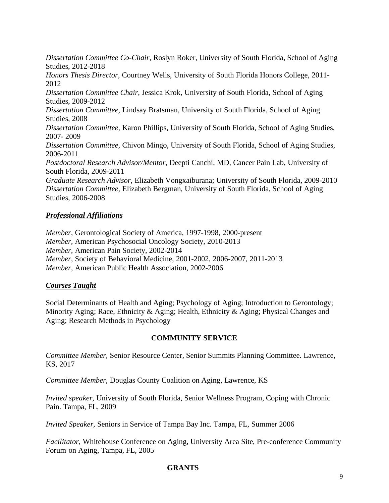*Dissertation Committee Co-Chair,* Roslyn Roker, University of South Florida, School of Aging Studies, 2012-2018 *Honors Thesis Director,* Courtney Wells, University of South Florida Honors College, 2011- 2012 *Dissertation Committee Chair,* Jessica Krok, University of South Florida, School of Aging Studies, 2009-2012 *Dissertation Committee,* Lindsay Bratsman, University of South Florida, School of Aging Studies, 2008 *Dissertation Committee,* Karon Phillips, University of South Florida, School of Aging Studies, 2007- 2009 *Dissertation Committee,* Chivon Mingo, University of South Florida, School of Aging Studies, 2006-2011 *Postdoctoral Research Advisor/Mentor,* Deepti Canchi, MD, Cancer Pain Lab, University of South Florida, 2009-2011 *Graduate Research Advisor,* Elizabeth Vongxaiburana; University of South Florida, 2009-2010 *Dissertation Committee,* Elizabeth Bergman, University of South Florida, School of Aging Studies, 2006-2008

### *Professional Affiliations*

*Member,* Gerontological Society of America, 1997-1998, 2000-present *Member,* American Psychosocial Oncology Society, 2010-2013 *Member,* American Pain Society, 2002-2014 *Member,* Society of Behavioral Medicine, 2001-2002, 2006-2007, 2011-2013 *Member,* American Public Health Association, 2002-2006

# *Courses Taught*

Social Determinants of Health and Aging; Psychology of Aging; Introduction to Gerontology; Minority Aging; Race, Ethnicity & Aging; Health, Ethnicity & Aging; Physical Changes and Aging; Research Methods in Psychology

# **COMMUNITY SERVICE**

*Committee Member,* Senior Resource Center, Senior Summits Planning Committee. Lawrence, KS, 2017

*Committee Member*, Douglas County Coalition on Aging, Lawrence, KS

*Invited speaker,* University of South Florida, Senior Wellness Program, Coping with Chronic Pain. Tampa, FL, 2009

*Invited Speaker,* Seniors in Service of Tampa Bay Inc. Tampa, FL, Summer 2006

*Facilitator,* Whitehouse Conference on Aging, University Area Site, Pre-conference Community Forum on Aging, Tampa, FL, 2005

# **GRANTS**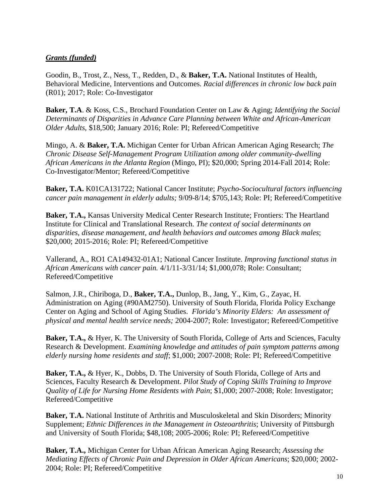# *Grants (funded)*

Goodin, B., Trost, Z., Ness, T., Redden, D., & **Baker, T.A.** National Institutes of Health, Behavioral Medicine, Interventions and Outcomes. *Racial differences in chronic low back pain* (R01); 2017; Role: Co-Investigator

**Baker, T.A**. & Koss, C.S., Brochard Foundation Center on Law & Aging; *Identifying the Social Determinants of Disparities in Advance Care Planning between White and African-American Older Adults*, \$18,500; January 2016; Role: PI; Refereed/Competitive

Mingo, A. & **Baker, T.A.** Michigan Center for Urban African American Aging Research; *The Chronic Disease Self-Management Program Utilization among older community-dwelling African Americans in the Atlanta Region* (Mingo, PI); \$20,000; Spring 2014-Fall 2014; Role: Co-Investigator/Mentor; Refereed/Competitive

**Baker, T.A.** K01CA131722; National Cancer Institute; *Psycho-Sociocultural factors influencing cancer pain management in elderly adults;* 9/09-8/14; \$705,143; Role: PI; Refereed/Competitive

**Baker, T.A.,** Kansas University Medical Center Research Institute; Frontiers: The Heartland Institute for Clinical and Translational Research. *The context of social determinants on disparities, disease management, and health behaviors and outcomes among Black males*; \$20,000; 2015-2016; Role: PI; Refereed/Competitive

Vallerand, A., RO1 CA149432-01A1; National Cancer Institute. *Improving functional status in African Americans with cancer pain.* 4/1/11-3/31/14; \$1,000,078; Role: Consultant; Refereed/Competitive

Salmon, J.R., Chiriboga, D., **Baker, T.A.,** Dunlop, B., Jang, Y., Kim, G., Zayac, H. Administration on Aging (#90AM2750). University of South Florida, Florida Policy Exchange Center on Aging and School of Aging Studies. *Florida's Minority Elders: An assessment of physical and mental health service needs;* 2004-2007; Role: Investigator; Refereed/Competitive

**Baker, T.A.,** & Hyer, K. The University of South Florida, College of Arts and Sciences, Faculty Research & Development. *Examining knowledge and attitudes of pain symptom patterns among elderly nursing home residents and staff*; \$1,000; 2007-2008; Role: PI; Refereed/Competitive

**Baker, T.A.,** & Hyer, K., Dobbs, D. The University of South Florida, College of Arts and Sciences, Faculty Research & Development. *Pilot Study of Coping Skills Training to Improve Quality of Life for Nursing Home Residents with Pain*; \$1,000; 2007-2008; Role: Investigator; Refereed/Competitive

**Baker, T.A.** National Institute of Arthritis and Musculoskeletal and Skin Disorders; Minority Supplement; *Ethnic Differences in the Management in Osteoarthritis*; University of Pittsburgh and University of South Florida; \$48,108; 2005-2006; Role: PI; Refereed/Competitive

**Baker, T.A.,** Michigan Center for Urban African American Aging Research; *Assessing the Mediating Effects of Chronic Pain and Depression in Older African Americans*; \$20,000; 2002- 2004; Role: PI; Refereed/Competitive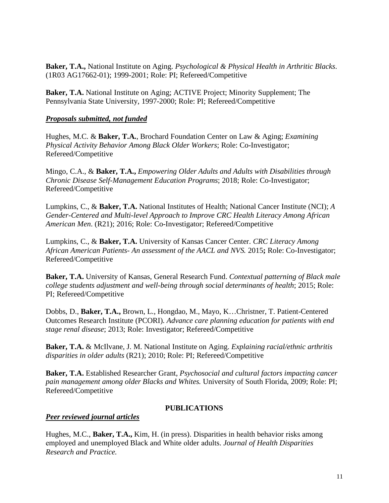**Baker, T.A.,** National Institute on Aging. *Psychological & Physical Health in Arthritic Blacks*. (1R03 AG17662-01); 1999-2001; Role: PI; Refereed/Competitive

**Baker, T.A.** National Institute on Aging; ACTIVE Project; Minority Supplement; The Pennsylvania State University, 1997-2000; Role: PI; Refereed/Competitive

## *Proposals submitted, not funded*

Hughes, M.C. & **Baker, T.A.**, Brochard Foundation Center on Law & Aging; *Examining Physical Activity Behavior Among Black Older Workers*; Role: Co-Investigator; Refereed/Competitive

Mingo, C.A., & **Baker, T.A.,** *Empowering Older Adults and Adults with Disabilities through Chronic Disease Self-Management Education Programs*; 2018; Role: Co-Investigator; Refereed/Competitive

Lumpkins, C., & **Baker, T.A.** National Institutes of Health; National Cancer Institute (NCI); *A Gender-Centered and Multi-level Approach to Improve CRC Health Literacy Among African American Men*. (R21); 2016; Role: Co-Investigator; Refereed/Competitive

Lumpkins, C., & **Baker, T.A.** University of Kansas Cancer Center. *CRC Literacy Among African American Patients- An assessment of the AACL and NVS.* 2015**;** Role: Co-Investigator; Refereed/Competitive

**Baker, T.A.** University of Kansas, General Research Fund. *Contextual patterning of Black male college students adjustment and well-being through social determinants of health*; 2015; Role: PI; Refereed/Competitive

Dobbs, D., **Baker, T.A.,** Brown, L., Hongdao, M., Mayo, K…Christner, T. Patient-Centered Outcomes Research Institute (PCORI). *Advance care planning education for patients with end stage renal disease*; 2013; Role: Investigator; Refereed/Competitive

**Baker, T.A.** & McIlvane, J. M. National Institute on Aging. *Explaining racial/ethnic arthritis disparities in older adults* (R21); 2010; Role: PI; Refereed/Competitive

**Baker, T.A.** Established Researcher Grant, *Psychosocial and cultural factors impacting cancer pain management among older Blacks and Whites.* University of South Florida, 2009; Role: PI; Refereed/Competitive

### **PUBLICATIONS**

### *Peer reviewed journal articles*

Hughes, M.C., **Baker, T.A.,** Kim, H. (in press). Disparities in health behavior risks among employed and unemployed Black and White older adults. *Journal of Health Disparities Research and Practice.*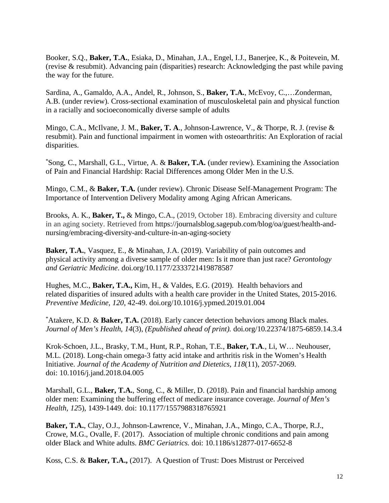Booker, S.Q., **Baker, T.A.**, Esiaka, D., Minahan, J.A., Engel, I.J., Banerjee, K., & Poitevein, M. (revise & resubmit). Advancing pain (disparities) research: Acknowledging the past while paving the way for the future.

Sardina, A., Gamaldo, A.A., Andel, R., Johnson, S., **Baker, T.A.**, McEvoy, C.,…Zonderman, A.B. (under review). Cross-sectional examination of musculoskeletal pain and physical function in a racially and socioeconomically diverse sample of adults

Mingo, C.A., McIlvane, J. M., **Baker, T. A**., Johnson-Lawrence, V., & Thorpe, R. J. (revise & resubmit). Pain and functional impairment in women with osteoarthritis: An Exploration of racial disparities.

\* Song, C., Marshall, G.L., Virtue, A. & **Baker, T.A.** (under review). Examining the Association of Pain and Financial Hardship: Racial Differences among Older Men in the U.S.

Mingo, C.M., & **Baker, T.A.** (under review). Chronic Disease Self-Management Program: The Importance of Intervention Delivery Modality among Aging African Americans.

Brooks, A. K., **Baker, T.,** & Mingo, C.A., (2019, October 18). Embracing diversity and culture in an aging society. Retrieved from [https://journalsblog.sagepub.com/blog/oa/guest/health-and](https://journalsblog.sagepub.com/blog/oa/guest/health-and-nursing/embracing-diversity-and-culture-in-an-aging-society)[nursing/embracing-diversity-and-culture-in-an-aging-society](https://journalsblog.sagepub.com/blog/oa/guest/health-and-nursing/embracing-diversity-and-culture-in-an-aging-society)

**Baker, T.A.**, Vasquez, E., & Minahan, J.A. (2019). Variability of pain outcomes and physical activity among a diverse sample of older men: Is it more than just race? *Gerontology and Geriatric Medicine*. [doi.org/10.1177/2333721419878587](https://doi.org/10.1177%2F2333721419878587)

Hughes, M.C., **Baker, T.A.,** Kim, H., & Valdes, E.G. (2019). Health behaviors and related disparities of insured adults with a health care provider in the United States, 2015-2016. *Preventive Medicine, 120*, 42-49. doi.org/10.1016/j.ypmed.2019.01.004

\* Atakere, K.D. & **Baker, T.A.** (2018). Early cancer detection behaviors among Black males. *Journal of Men's Health, 14*(3), *(Epublished ahead of print).* [doi.org/10.22374/1875-6859.14.3.4](https://doi.org/10.22374/1875-6859.14.3.4)

Krok-Schoen, J.L., Brasky, T.M., Hunt, R.P., Rohan, T.E., **Baker, T.A**., Li, W… Neuhouser, M.L. (2018). Long-chain omega-3 fatty acid intake and arthritis risk in the Women's Health Initiative. *Journal of the Academy of Nutrition and Dietetics, 118*(11), 2057-2069. doi: 10.1016/j.jand.2018.04.005

Marshall, G.L., **Baker, T.A.**, Song, C., & Miller, D. (2018). Pain and financial hardship among older men: Examining the buffering effect of medicare insurance coverage. *Journal of Men's Health, 12*5), 1439-1449. doi: 10.1177/1557988318765921

**Baker, T.A.**, Clay, O.J., Johnson-Lawrence, V., Minahan, J.A., Mingo, C.A., Thorpe, R.J., Crowe, M.G., Ovalle, F. (2017). Association of multiple chronic conditions and pain among older Black and White adults. *BMC Geriatrics.* doi: 10.1186/s12877-017-6652-8

Koss, C.S. & **Baker, T.A.,** (2017). A Question of Trust: Does Mistrust or Perceived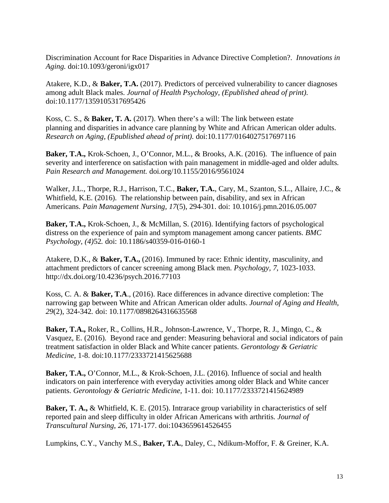Discrimination Account for Race Disparities in Advance Directive Completion?. *Innovations in Aging.* doi:10.1093/geroni/igx017

Atakere, K.D., & **Baker, T.A.** (2017). Predictors of perceived vulnerability to cancer diagnoses among adult Black males. *Journal of Health Psychology, (Epublished ahead of print).* doi:10.1177/1359105317695426

Koss, C. S., & **Baker, T. A.** (2017). When there's a will: The link between estate planning and disparities in advance care planning by White and African American older adults. *Research on Aging, (Epublished ahead of print).* doi:10.1177/0164027517697116

**Baker, T.A.,** Krok-Schoen, J., O'Connor, M.L., & Brooks, A.K. (2016). The influence of pain severity and interference on satisfaction with pain management in middle-aged and older adults. *Pain Research and Management.* [doi.org/10.1155/2016/9561024](http://dx.doi.org/10.1155/2016/9561024)

Walker, J.L., Thorpe, R.J., Harrison, T.C., **Baker, T.A.**, Cary, M., Szanton, S.L., Allaire, J.C., & Whitfield, K.E. (2016). The relationship between pain, disability, and sex in African Americans. *Pain Management Nursing, 17*(5), 294-301. doi: 10.1016/j.pmn.2016.05.007

**Baker, T.A.,** Krok-Schoen, J., & McMillan, S. (2016). Identifying factors of psychological distress on the experience of pain and symptom management among cancer patients. *BMC Psychology, (4)*52*.* doi: 10.1186/s40359-016-0160-1

Atakere, D.K., & **Baker, T.A.,** (2016). Immuned by race: Ethnic identity, masculinity, and attachment predictors of cancer screening among Black men. *Psychology, 7*, 1023-1033. <http://dx.doi.org/10.4236/psych.2016.77103>

Koss, C. A. & **Baker, T.A**., (2016). Race differences in advance directive completion: The narrowing gap between White and African American older adults. *Journal of Aging and Health, 29*(2), 324-342*.* doi: 10.1177/0898264316635568

**Baker, T.A.,** Roker, R., Collins, H.R., Johnson-Lawrence, V., Thorpe, R. J., Mingo, C., & Vasquez, E. (2016). Beyond race and gender: Measuring behavioral and social indicators of pain treatment satisfaction in older Black and White cancer patients. *Gerontology & Geriatric Medicine,* 1-8. doi:10.1177/2333721415625688

**Baker, T.A.,** O'Connor, M.L., & Krok-Schoen, J.L. (2016). Influence of social and health indicators on pain interference with everyday activities among older Black and White cancer patients. *Gerontology & Geriatric Medicine,* 1-11. doi: 10.1177/2333721415624989

**Baker, T. A.,** & Whitfield, K. E. (2015). Intrarace group variability in characteristics of self reported pain and sleep difficulty in older African Americans with arthritis. *Journal of Transcultural Nursing*, *26*, 171-177. doi:1043659614526455

Lumpkins, C.Y., Vanchy M.S., **Baker, T.A.**, Daley, C., Ndikum-Moffor, F. & Greiner, K.A.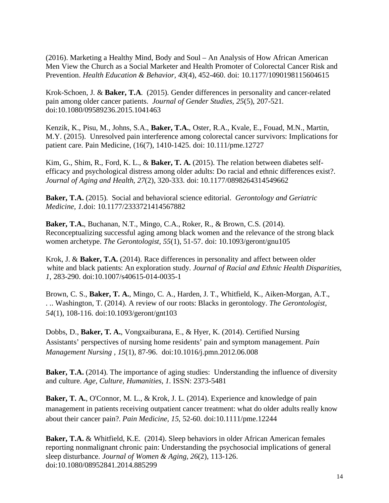(2016). Marketing a Healthy Mind, Body and Soul – An Analysis of How African American Men View the Church as a Social Marketer and Health Promoter of Colorectal Cancer Risk and Prevention. *Health Education & Behavior, 43*(4), 452-460. doi: 10.1177/1090198115604615

Krok-Schoen, J. & **Baker, T.A**. (2015). Gender differences in personality and cancer-related pain among older cancer patients. *Journal of Gender Studies, 25*(5), 207-521*.* doi:10.1080/09589236.2015.1041463

Kenzik, K., Pisu, M., Johns, S.A., **Baker, T.A.**, Oster, R.A., Kvale, E., Fouad, M.N., Martin, M.Y. (2015). Unresolved pain interference among colorectal cancer survivors: Implications for patient care. Pain Medicine, (16(7), 1410-1425. doi: 10.111/pme.12727

Kim, G., Shim, R., Ford, K. L., & **Baker, T. A.** (2015). The relation between diabetes selfefficacy and psychological distress among older adults: Do racial and ethnic differences exist?. *Journal of Aging and Health, 27*(2), 320-333. doi: 10.1177/0898264314549662

**Baker, T.A.** (2015). Social and behavioral science editorial. *Gerontology and Geriatric Medicine, 1.*doi: 10.1177/2333721414567882

**Baker, T.A.**, Buchanan, N.T., Mingo, C.A., Roker, R., & Brown, C.S. (2014). Reconceptualizing successful aging among black women and the relevance of the strong black women archetype. *The Gerontologist, 55*(1), 51-57. doi: 10.1093/geront/gnu105

Krok, J. & **Baker, T.A.** (2014). Race differences in personality and affect between older white and black patients: An exploration study. *Journal of Racial and Ethnic Health Disparities, 1*, 283-290. doi:10.1007/s40615-014-0035-1

Brown, C. S., **Baker, T. A.**, Mingo, C. A., Harden, J. T., Whitfield, K., Aiken-Morgan, A.T., . .. Washington, T. (2014). A review of our roots: Blacks in gerontology. *The Gerontologist, 54*(1), 108-116. doi:10.1093/geront/gnt103

Dobbs, D., **Baker, T. A.**, Vongxaiburana, E., & Hyer, K. (2014). Certified Nursing Assistants' perspectives of nursing home residents' pain and symptom management. *Pain Management Nursing , 15*(1), 87-96. doi:10.1016/j.pmn.2012.06.008

**Baker, T.A.** (2014). The importance of aging studies: Understanding the influence of diversity and culture. *Age, Culture, Humanities, 1.* ISSN: 2373-5481

**Baker, T. A.**, O'Connor, M. L., & Krok, J. L. (2014). Experience and knowledge of pain management in patients receiving outpatient cancer treatment: what do older adults really know about their cancer pain?. *Pain Medicine, 15*, 52-60. doi:10.1111/pme.12244

**Baker, T.A.** & Whitfield, K.E. (2014). Sleep behaviors in older African American females reporting nonmalignant chronic pain: Understanding the psychosocial implications of general sleep disturbance. *Journal of Women & Aging, 26*(2), 113-126. doi:10.1080/08952841.2014.885299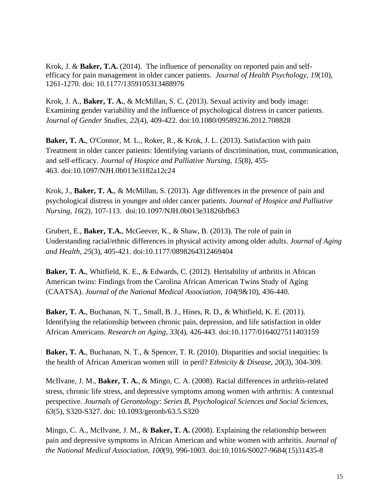Krok, J. & **Baker, T.A.** (2014). The influence of personality on reported pain and selfefficacy for pain management in older cancer patients. *Journal of Health Psychology, 19*(10), 1261-1270*.* doi: 10.1177/1359105313488976

Krok, J. A., **Baker, T. A.**, & McMillan, S. C. (2013). Sexual activity and body image: Examining gender variability and the influence of psychological distress in cancer patients. *Journal of Gender Studies, 22*(4), 409-422. doi:10.1080/09589236.2012.708828

**Baker, T. A.**, O'Connor, M. L., Roker, R., & Krok, J. L. (2013). Satisfaction with pain Treatment in older cancer patients: Identifying variants of discrimination, trust, communication, and self-efficacy. *Journal of Hospice and Palliative Nursing, 15*(8), 455- 463. doi:10.1097/NJH.0b013e3182a12c24

Krok, J., **Baker, T. A.**, & McMillan, S. (2013). Age differences in the presence of pain and psychological distress in younger and older cancer patients. *Journal of Hospice and Palliative Nursing, 16*(2), 107-113. doi:10.1097/NJH.0b013e31826bfb63

Grubert, E., **Baker, T.A.**, McGeever, K., & Shaw, B. (2013). The role of pain in Understanding racial/ethnic differences in physical activity among older adults. *Journal of Aging and Health, 25*(3), 405-421. doi:10.1177/0898264312469404

**Baker, T. A.**, Whitfield, K. E., & Edwards, C. (2012). Heritability of arthritis in African American twins: Findings from the Carolina African American Twins Study of Aging (CAATSA). *Journal of the National Medical Association, 104*(9&10), 436-440.

**Baker, T. A.**, Buchanan, N. T., Small, B. J., Hines, R. D., & Whitfield, K. E. (2011). Identifying the relationship between chronic pain, depression, and life satisfaction in older African Americans. *Research on Aging, 33*(4), 426-443. doi:10.1177/0164027511403159

**Baker, T. A.**, Buchanan, N. T., & Spencer, T. R. (2010). Disparities and social inequities: Is the health of African American women still in peril? *Ethnicity & Disease, 20*(3), 304-309.

McIlvane, J. M., **Baker, T. A.**, & Mingo, C. A. (2008). Racial differences in arthritis-related stress, chronic life stress, and depressive symptoms among women with arthritis: A contextual perspective. *Journals of Gerontology: Series B, Psychological Sciences and Social Sciences, 63*(5), S320-S327. doi: 10.1093/geronb/63.5.S320

Mingo, C. A., McIlvane, J. M., & **Baker, T. A.** (2008). Explaining the relationship between pain and depressive symptoms in African American and white women with arthritis. *Journal of the National Medical Association, 100*(9), 996-1003. doi:10.1016/S0027-9684(15)31435-8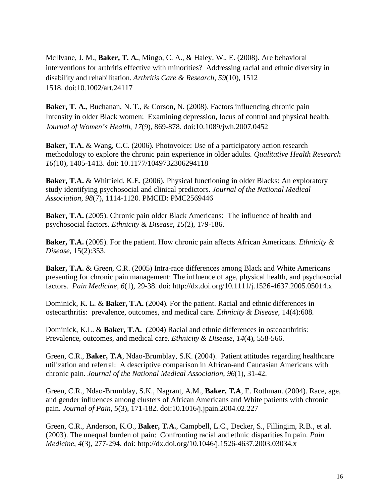McIlvane, J. M., **Baker, T. A.**, Mingo, C. A., & Haley, W., E. (2008). Are behavioral interventions for arthritis effective with minorities? Addressing racial and ethnic diversity in disability and rehabilitation. *Arthritis Care & Research, 59*(10), 1512 1518. doi:10.1002/art.24117

**Baker, T. A.**, Buchanan, N. T., & Corson, N. (2008). Factors influencing chronic pain Intensity in older Black women: Examining depression, locus of control and physical health. *Journal of Women's Health, 17*(9), 869-878. doi:10.1089/jwh.2007.0452

**Baker, T.A.** & Wang, C.C. (2006). Photovoice: Use of a participatory action research methodology to explore the chronic pain experience in older adults. *Qualitative Health Research 16*(10), 1405-1413. doi: 10.1177/1049732306294118

**Baker, T.A.** & Whitfield, K.E. (2006). Physical functioning in older Blacks: An exploratory study identifying psychosocial and clinical predictors. *Journal of the National Medical Association*, *98*(7), 1114-1120*.* PMCID: PMC2569446

**Baker, T.A.** (2005). Chronic pain older Black Americans: The influence of health and psychosocial factors. *Ethnicity & Disease*, *15*(2), 179-186.

**Baker, T.A.** (2005). For the patient. How chronic pain affects African Americans. *Ethnicity & Disease*, 15(2):353.

**Baker, T.A.** & Green, C.R. (2005) Intra-race differences among Black and White Americans presenting for chronic pain management: The influence of age, physical health, and psychosocial factors. *Pain Medicine, 6*(1), 29-38. doi:<http://dx.doi.org/10.1111/j.1526-4637.2005.05014.x>

Dominick, K. L. & **Baker, T.A.** (2004). For the patient. Racial and ethnic differences in osteoarthritis: prevalence, outcomes, and medical care. *Ethnicity & Disease*, 14(4):608.

Dominick, K.L. & **Baker, T.A.** (2004) Racial and ethnic differences in osteoarthritis: Prevalence, outcomes, and medical care. *Ethnicity & Disease*, *14*(4), 558-566.

Green, C.R., **Baker, T.A**, Ndao-Brumblay, S.K. (2004). Patient attitudes regarding healthcare utilization and referral: A descriptive comparison in African-and Caucasian Americans with chronic pain. *Journal of the National Medical Association*, *96*(1), 31-42.

Green, C.R., Ndao-Brumblay, S.K., Nagrant, A.M., **Baker, T.A**, E. Rothman. (2004). Race, age, and gender influences among clusters of African Americans and White patients with chronic pain. *Journal of Pain*, *5*(3), 171-182. [doi:10.1016/j.jpain.2004.02.227](http://dx.doi.org/10.1016/j.jpain.2004.02.227)

Green, C.R., Anderson, K.O., **Baker, T.A.**, Campbell, L.C., Decker, S., Fillingim, R.B., et al. (2003). The unequal burden of pain: Confronting racial and ethnic disparities In pain. *Pain Medicine*, *4*(3), 277-294. doi:<http://dx.doi.org/10.1046/j.1526-4637.2003.03034.x>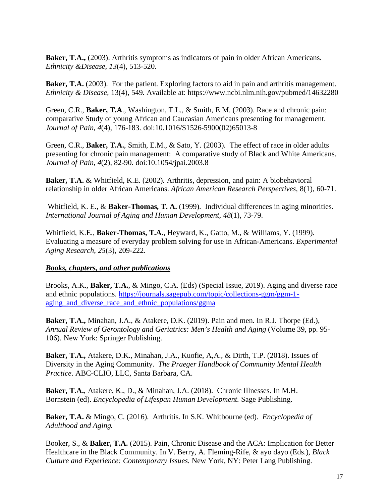**Baker, T.A.,** (2003). Arthritis symptoms as indicators of pain in older African Americans. *Ethnicity &Disease*, *13*(4), 513-520.

**Baker, T.A.** (2003). For the patient. Exploring factors to aid in pain and arthritis management. *Ethnicity & Disease,* 13(4), 549. Available at: <https://www.ncbi.nlm.nih.gov/pubmed/14632280>

Green, C.R., **Baker, T.A**., Washington, T.L., & Smith, E.M. (2003). Race and chronic pain: comparative Study of young African and Caucasian Americans presenting for management. *Journal of Pain*, *4*(4), 176-183. [doi:10.1016/S1526-5900\(02\)65013-8](http://dx.doi.org/10.1016/S1526-5900%2802%2965013-8)

Green, C.R., **Baker, T.A.**, Smith, E.M., & Sato, Y. (2003). The effect of race in older adults presenting for chronic pain management: A comparative study of Black and White Americans. *Journal of Pain*, *4*(2), 82-90. [doi:10.1054/jpai.2003.8](http://dx.doi.org/10.1054/jpai.2003.8)

**Baker, T.A.** & Whitfield, K.E. (2002). Arthritis, depression, and pain: A biobehavioral relationship in older African Americans. *African American Research Perspectives*, 8(1), 60-71.

Whitfield, K. E., & **Baker-Thomas, T. A.** (1999). Individual differences in aging minorities. *International Journal of Aging and Human Development*, *48*(1), 73-79.

Whitfield, K.E., **Baker-Thomas, T.A.**, Heyward, K., Gatto, M., & Williams, Y. (1999). Evaluating a measure of everyday problem solving for use in African-Americans. *Experimental Aging Research*, *25*(3), 209-222.

### *Books, chapters, and other publications*

Brooks, A.K., **Baker, T.A.**, & Mingo, C.A. (Eds) (Special Issue, 2019). Aging and diverse race and ethnic populations. [https://journals.sagepub.com/topic/collections-ggm/ggm-1](https://journals.sagepub.com/topic/collections-ggm/ggm-1-aging_and_diverse_race_and_ethnic_populations/ggma) aging and diverse race and ethnic populations/ggma

**Baker, T.A.,** Minahan, J.A., & Atakere, D.K. (2019). Pain and men. In R.J. Thorpe (Ed.), *Annual Review of Gerontology and Geriatrics: Men's Health and Aging* (Volume 39, pp. 95- 106). New York: Springer Publishing.

**Baker, T.A.,** Atakere, D.K., Minahan, J.A., Kuofie, A,A., & Dirth, T.P. (2018). Issues of Diversity in the Aging Community. *The Praeger Handbook of Community Mental Health Practice*. ABC-CLIO, LLC, Santa Barbara, CA.

**Baker, T.A.**, Atakere, K., D., & Minahan, J.A. (2018). Chronic Illnesses. In M.H. Bornstein (ed). *Encyclopedia of Lifespan Human Development.* Sage Publishing.

**Baker, T.A.** & Mingo, C. (2016). Arthritis. In S.K. Whitbourne (ed). *Encyclopedia of Adulthood and Aging.*

Booker, S., & **Baker, T.A.** (2015). Pain, Chronic Disease and the ACA: Implication for Better Healthcare in the Black Community. In V. Berry, A. Fleming-Rife, & ayo dayo (Eds.), *Black Culture and Experience: Contemporary Issues.* New York, NY: Peter Lang Publishing.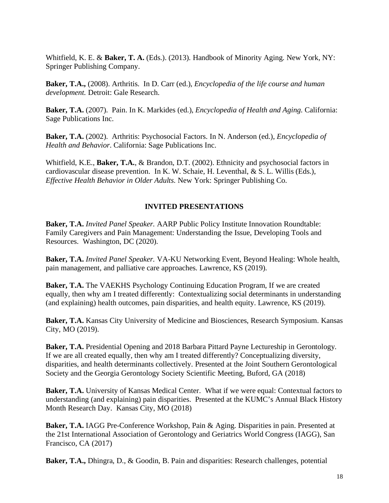Whitfield, K. E. & **Baker, T. A.** (Eds.). (2013). Handbook of Minority Aging. New York, NY: Springer Publishing Company.

**Baker, T.A.,** (2008). Arthritis. In D. Carr (ed.), *Encyclopedia of the life course and human development.* Detroit: Gale Research.

**Baker, T.A.** (2007). Pain. In K. Markides (ed.), *Encyclopedia of Health and Aging*. California: Sage Publications Inc.

**Baker, T.A.** (2002). Arthritis: Psychosocial Factors. In N. Anderson (ed.), *Encyclopedia of Health and Behavior*. California: Sage Publications Inc.

Whitfield, K.E., **Baker, T.A.**, & Brandon, D.T. (2002). Ethnicity and psychosocial factors in cardiovascular disease prevention. In K. W. Schaie, H. Leventhal, & S. L. Willis (Eds.), *Effective Health Behavior in Older Adults*. New York: Springer Publishing Co.

# **INVITED PRESENTATIONS**

**Baker, T.A.** *Invited Panel Speaker.* AARP Public Policy Institute Innovation Roundtable: Family Caregivers and Pain Management: Understanding the Issue, Developing Tools and Resources. Washington, DC (2020).

**Baker, T.A.** *Invited Panel Speaker.* VA-KU Networking Event, Beyond Healing: Whole health, pain management, and palliative care approaches. Lawrence, KS (2019).

**Baker, T.A.** The VAEKHS Psychology Continuing Education Program, If we are created equally, then why am I treated differently: Contextualizing social determinants in understanding (and explaining) health outcomes, pain disparities, and health equity. Lawrence, KS (2019).

**Baker, T.A.** Kansas City University of Medicine and Biosciences, Research Symposium. Kansas City, MO (2019).

**Baker, T.A.** Presidential Opening and 2018 Barbara Pittard Payne Lectureship in Gerontology*.*  If we are all created equally, then why am I treated differently? Conceptualizing diversity, disparities, and health determinants collectively. Presented at the Joint Southern Gerontological Society and the Georgia Gerontology Society Scientific Meeting, Buford, GA (2018)

**Baker, T.A.** University of Kansas Medical Center. What if we were equal: Contextual factors to understanding (and explaining) pain disparities. Presented at the KUMC's Annual Black History Month Research Day. Kansas City, MO (2018)

**Baker, T.A.** IAGG Pre-Conference Workshop, Pain & Aging. Disparities in pain. Presented at the 21st International Association of Gerontology and Geriatrics World Congress (IAGG), San Francisco, CA (2017)

**Baker, T.A.,** Dhingra, D., & Goodin, B. Pain and disparities: Research challenges, potential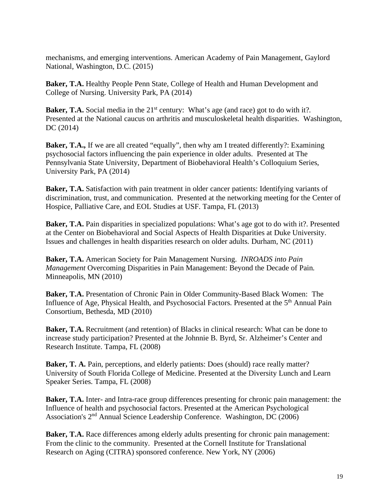mechanisms, and emerging interventions. American Academy of Pain Management, Gaylord National, Washington, D.C. (2015)

**Baker, T.A.** Healthy People Penn State, College of Health and Human Development and College of Nursing. University Park, PA (2014)

**Baker, T.A.** Social media in the 21<sup>st</sup> century: What's age (and race) got to do with it?. Presented at the National caucus on arthritis and musculoskeletal health disparities. Washington, DC (2014)

**Baker, T.A.,** If we are all created "equally", then why am I treated differently?: Examining psychosocial factors influencing the pain experience in older adults. Presented at The Pennsylvania State University, Department of Biobehavioral Health's Colloquium Series, University Park, PA (2014)

**Baker, T.A.** Satisfaction with pain treatment in older cancer patients: Identifying variants of discrimination, trust, and communication. Presented at the networking meeting for the Center of Hospice, Palliative Care, and EOL Studies at USF. Tampa, FL (2013)

**Baker, T.A.** Pain disparities in specialized populations: What's age got to do with it?. Presented at the Center on Biobehavioral and Social Aspects of Health Disparities at Duke University. Issues and challenges in health disparities research on older adults. Durham, NC (2011)

**Baker, T.A.** American Society for Pain Management Nursing. *INROADS into Pain Management* Overcoming Disparities in Pain Management: Beyond the Decade of Pain. Minneapolis, MN (2010)

**Baker, T.A.** Presentation of Chronic Pain in Older Community-Based Black Women: The Influence of Age, Physical Health, and Psychosocial Factors. Presented at the 5<sup>th</sup> Annual Pain Consortium, Bethesda, MD (2010)

**Baker, T.A.** Recruitment (and retention) of Blacks in clinical research: What can be done to increase study participation? Presented at the Johnnie B. Byrd, Sr. Alzheimer's Center and Research Institute. Tampa, FL (2008)

**Baker, T. A.** Pain, perceptions, and elderly patients: Does (should) race really matter? University of South Florida College of Medicine. Presented at the Diversity Lunch and Learn Speaker Series. Tampa, FL (2008)

**Baker, T.A.** Inter- and Intra-race group differences presenting for chronic pain management: the Influence of health and psychosocial factors. Presented at the American Psychological Association's 2nd Annual Science Leadership Conference. Washington, DC (2006)

**Baker, T.A.** Race differences among elderly adults presenting for chronic pain management: From the clinic to the community. Presented at the Cornell Institute for Translational Research on Aging (CITRA) sponsored conference. New York, NY (2006)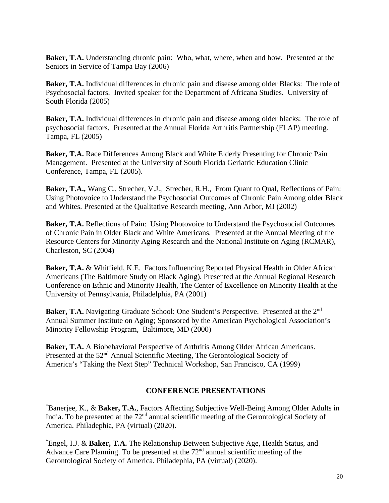**Baker, T.A.** Understanding chronic pain: Who, what, where, when and how. Presented at the Seniors in Service of Tampa Bay (2006)

**Baker, T.A.** Individual differences in chronic pain and disease among older Blacks: The role of Psychosocial factors. Invited speaker for the Department of Africana Studies. University of South Florida (2005)

**Baker, T.A.** Individual differences in chronic pain and disease among older blacks: The role of psychosocial factors. Presented at the Annual Florida Arthritis Partnership (FLAP) meeting. Tampa, FL (2005)

**Baker, T.A.** Race Differences Among Black and White Elderly Presenting for Chronic Pain Management. Presented at the University of South Florida Geriatric Education Clinic Conference, Tampa, FL (2005).

**Baker, T.A.,** Wang C., Strecher, V.J., Strecher, R.H., From Quant to Qual, Reflections of Pain: Using Photovoice to Understand the Psychosocial Outcomes of Chronic Pain Among older Black and Whites. Presented at the Qualitative Research meeting, Ann Arbor, MI (2002)

**Baker, T.A.** Reflections of Pain: Using Photovoice to Understand the Psychosocial Outcomes of Chronic Pain in Older Black and White Americans. Presented at the Annual Meeting of the Resource Centers for Minority Aging Research and the National Institute on Aging (RCMAR), Charleston, SC (2004)

**Baker, T.A.** & Whitfield, K.E. Factors Influencing Reported Physical Health in Older African Americans (The Baltimore Study on Black Aging). Presented at the Annual Regional Research Conference on Ethnic and Minority Health, The Center of Excellence on Minority Health at the University of Pennsylvania, Philadelphia, PA (2001)

**Baker, T.A.** Navigating Graduate School: One Student's Perspective. Presented at the 2<sup>nd</sup> Annual Summer Institute on Aging; Sponsored by the American Psychological Association's Minority Fellowship Program, Baltimore, MD (2000)

**Baker, T.A.** A Biobehavioral Perspective of Arthritis Among Older African Americans. Presented at the 52<sup>nd</sup> Annual Scientific Meeting, The Gerontological Society of America's "Taking the Next Step" Technical Workshop, San Francisco, CA (1999)

### **CONFERENCE PRESENTATIONS**

\* Banerjee, K., & **Baker, T.A.**, Factors Affecting Subjective Well-Being Among Older Adults in India. To be presented at the  $72<sup>nd</sup>$  annual scientific meeting of the Gerontological Society of America. Philadephia, PA (virtual) (2020).

\* Engel, I.J. & **Baker, T.A.** The Relationship Between Subjective Age, Health Status, and Advance Care Planning. To be presented at the  $72<sup>nd</sup>$  annual scientific meeting of the Gerontological Society of America. Philadephia, PA (virtual) (2020).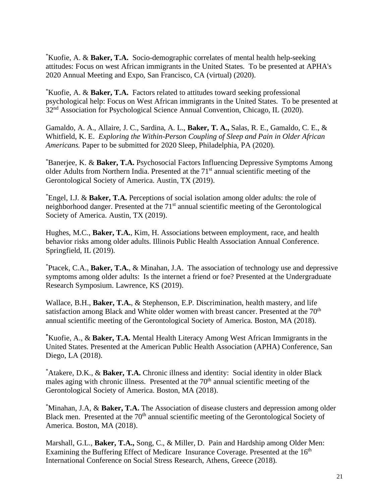\* Kuofie, A. & **Baker, T.A.** Socio-demographic correlates of mental health help-seeking attitudes: Focus on west African immigrants in the United States. To be presented at APHA's 2020 Annual Meeting and Expo, San Francisco, CA (virtual) (2020).

\* Kuofie, A. & **Baker, T.A.** Factors related to attitudes toward seeking professional psychological help: Focus on West African immigrants in the United States. To be presented at 32<sup>nd</sup> Association for Psychological Science Annual Convention, Chicago, IL (2020).

Gamaldo, A. A., Allaire, J. C., Sardina, A. L., **Baker, T. A.,** Salas, R. E., Gamaldo, C. E., & Whitfield, K. E. *Exploring the Within-Person Coupling of Sleep and Pain in Older African Americans.* Paper to be submitted for 2020 Sleep, Philadelphia, PA (2020).

\* Banerjee, K. & **Baker, T.A.** Psychosocial Factors Influencing Depressive Symptoms Among older Adults from Northern India. Presented at the 71st annual scientific meeting of the Gerontological Society of America. Austin, TX (2019).

\* Engel, I.J. & **Baker, T.A.** Perceptions of social isolation among older adults: the role of neighborhood danger. Presented at the 71<sup>st</sup> annual scientific meeting of the Gerontological Society of America. Austin, TX (2019).

Hughes, M.C., **Baker, T.A.**, Kim, H. Associations between employment, race, and health behavior risks among older adults. Illinois Public Health Association Annual Conference. Springfield, IL (2019).

\* Ptacek, C.A., **Baker, T.A.**, & Minahan, J.A. The association of technology use and depressive symptoms among older adults: Is the internet a friend or foe? Presented at the Undergraduate Research Symposium. Lawrence, KS (2019).

Wallace, B.H., **Baker, T.A.**, & Stephenson, E.P. Discrimination, health mastery, and life satisfaction among Black and White older women with breast cancer. Presented at the  $70<sup>th</sup>$ annual scientific meeting of the Gerontological Society of America. Boston, MA (2018).

**\*** Kuofie, A., & **Baker, T.A.** Mental Health Literacy Among West African Immigrants in the United States. Presented at the American Public Health Association (APHA) Conference, San Diego, LA (2018).

\* Atakere, D.K., & **Baker, T.A.** Chronic illness and identity: Social identity in older Black males aging with chronic illness. Presented at the  $70<sup>th</sup>$  annual scientific meeting of the Gerontological Society of America. Boston, MA (2018).

\* Minahan, J.A, & **Baker, T.A.** The Association of disease clusters and depression among older Black men. Presented at the 70<sup>th</sup> annual scientific meeting of the Gerontological Society of America. Boston, MA (2018).

Marshall, G.L., **Baker, T.A.,** Song, C., & Miller, D. Pain and Hardship among Older Men: Examining the Buffering Effect of Medicare Insurance Coverage. Presented at the 16<sup>th</sup> International Conference on Social Stress Research, Athens, Greece (2018).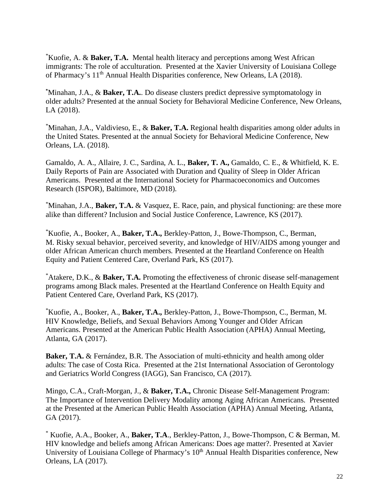\* Kuofie, A. & **Baker, T.A.** Mental health literacy and perceptions among West African immigrants: The role of acculturation. Presented at the Xavier University of Louisiana College of Pharmacy's 11<sup>th</sup> Annual Health Disparities conference, New Orleans, LA (2018).

**\*** Minahan, J.A., & **Baker, T.A.**. Do disease clusters predict depressive symptomatology in older adults? Presented at the annual Society for Behavioral Medicine Conference, New Orleans, LA (2018).

\* Minahan, J.A., Valdivieso, E., & **Baker, T.A.** Regional health disparities among older adults in the United States. Presented at the annual Society for Behavioral Medicine Conference, New Orleans, LA. (2018).

Gamaldo, A. A., Allaire, J. C., Sardina, A. L., **Baker, T. A.,** Gamaldo, C. E., & Whitfield, K. E. Daily Reports of Pain are Associated with Duration and Quality of Sleep in Older African Americans. Presented at the International Society for Pharmacoeconomics and Outcomes Research (ISPOR), Baltimore, MD (2018).

\* Minahan, J.A., **Baker, T.A.** & Vasquez, E. Race, pain, and physical functioning: are these more alike than different? Inclusion and Social Justice Conference, Lawrence, KS (2017).

\* Kuofie, A., Booker, A., **Baker, T.A.,** Berkley-Patton, J., Bowe-Thompson, C., Berman, M. Risky sexual behavior, perceived severity, and knowledge of HIV/AIDS among younger and older African American church members*.* Presented at the Heartland Conference on Health Equity and Patient Centered Care, Overland Park, KS (2017).

\* Atakere, D.K., & **Baker, T.A.** Promoting the effectiveness of chronic disease self-management programs among Black males. Presented at the Heartland Conference on Health Equity and Patient Centered Care, Overland Park, KS (2017).

\* Kuofie, A., Booker, A., **Baker, T.A.,** Berkley-Patton, J., Bowe-Thompson, C., Berman, M. HIV Knowledge, Beliefs, and Sexual Behaviors Among Younger and Older African Americans. Presented at the American Public Health Association (APHA) Annual Meeting, Atlanta, GA (2017).

**Baker, T.A.** & Fernández, B.R. The Association of multi-ethnicity and health among older adults: The case of Costa Rica. Presented at the 21st International Association of Gerontology and Geriatrics World Congress (IAGG), San Francisco, CA (2017).

Mingo, C.A., Craft-Morgan, J., & **Baker, T.A.,** Chronic Disease Self-Management Program: The Importance of Intervention Delivery Modality among Aging African Americans. Presented at the Presented at the American Public Health Association (APHA) Annual Meeting, Atlanta, GA (2017).

\* Kuofie, A.A., Booker, A., **Baker, T.A**., Berkley-Patton, J., Bowe-Thompson, C & Berman, M. HIV knowledge and beliefs among African Americans: Does age matter?. Presented at Xavier University of Louisiana College of Pharmacy's 10<sup>th</sup> Annual Health Disparities conference, New Orleans, LA (2017).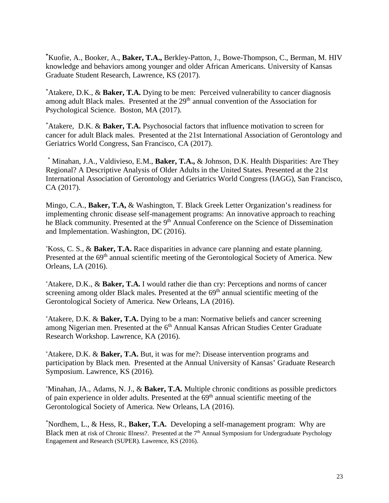**\*** Kuofie, A., Booker, A., **Baker, T.A.,** Berkley-Patton, J., Bowe-Thompson, C., Berman, M. HIV knowledge and behaviors among younger and older African Americans. University of Kansas Graduate Student Research, Lawrence, KS (2017).

\* Atakere, D.K., & **Baker, T.A.** Dying to be men: Perceived vulnerability to cancer diagnosis among adult Black males. Presented at the 29<sup>th</sup> annual convention of the Association for Psychological Science. Boston, MA (2017).

\* Atakere, D.K. & **Baker, T.A.** Psychosocial factors that influence motivation to screen for cancer for adult Black males. Presented at the 21st International Association of Gerontology and Geriatrics World Congress, San Francisco, CA (2017).

\* Minahan, J.A., Valdivieso, E.M., **Baker, T.A.,** & Johnson, D.K. Health Disparities: Are They Regional? A Descriptive Analysis of Older Adults in the United States. Presented at the 21st International Association of Gerontology and Geriatrics World Congress (IAGG), San Francisco, CA (2017).

Mingo, C.A., **Baker, T.A,** & Washington, T. Black Greek Letter Organization's readiness for implementing chronic disease self-management programs: An innovative approach to reaching he Black community. Presented at the 9<sup>th</sup> Annual Conference on the Science of Dissemination and Implementation. Washington, DC (2016).

\* Koss, C. S., & **Baker, T.A.** Race disparities in advance care planning and estate planning. Presented at the 69<sup>th</sup> annual scientific meeting of the Gerontological Society of America. New Orleans, LA (2016).

\* Atakere, D.K., & **Baker, T.A.** I would rather die than cry: Perceptions and norms of cancer screening among older Black males. Presented at the  $69<sup>th</sup>$  annual scientific meeting of the Gerontological Society of America. New Orleans, LA (2016).

\* Atakere, D.K. & **Baker, T.A.** Dying to be a man: Normative beliefs and cancer screening among Nigerian men. Presented at the 6<sup>th</sup> Annual Kansas African Studies Center Graduate Research Workshop. Lawrence, KA (2016).

\* Atakere, D.K. & **Baker, T.A.** But, it was for me?: Disease intervention programs and participation by Black men. Presented at the Annual University of Kansas' Graduate Research Symposium. Lawrence, KS (2016).

\* Minahan, JA., Adams, N. J., & **Baker, T.A.** Multiple chronic conditions as possible predictors of pain experience in older adults. Presented at the  $69<sup>th</sup>$  annual scientific meeting of the Gerontological Society of America. New Orleans, LA (2016).

\* Nordhem, L., & Hess, R., **Baker, T.A.** Developing a self-management program: Why are Black men at risk of Chronic Illness?. Presented at the 7<sup>th</sup> Annual Symposium for Undergraduate Psychology Engagement and Research (SUPER). Lawrence, KS (2016).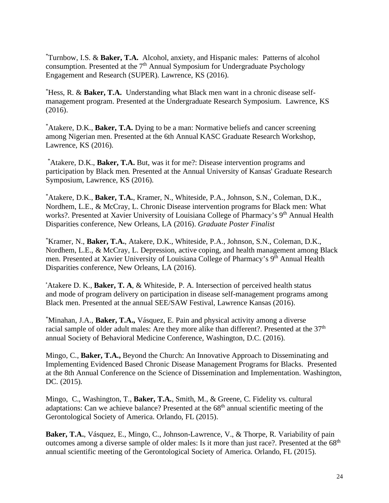\* Turnbow, I.S. & **Baker, T.A.** Alcohol, anxiety, and Hispanic males: Patterns of alcohol consumption. Presented at the  $7<sup>th</sup>$  Annual Symposium for Undergraduate Psychology Engagement and Research (SUPER). Lawrence, KS (2016).

\* Hess, R. & **Baker, T.A.** Understanding what Black men want in a chronic disease selfmanagement program. Presented at the Undergraduate Research Symposium. Lawrence, KS (2016).

\* Atakere, D.K., **Baker, T.A.** Dying to be a man: Normative beliefs and cancer screening among Nigerian men. Presented at the 6th Annual KASC Graduate Research Workshop, Lawrence, KS (2016).

\* Atakere, D.K., **Baker, T.A.** But, was it for me?: Disease intervention programs and participation by Black men*.* Presented at the Annual University of Kansas' Graduate Research Symposium, Lawrence, KS (2016).

\* Atakere, D.K., **Baker, T.A.**, Kramer, N., Whiteside, P.A., Johnson, S.N., Coleman, D.K., Nordhem, L.E., & McCray, L. Chronic Disease intervention programs for Black men: What works?. Presented at Xavier University of Louisiana College of Pharmacy's 9<sup>th</sup> Annual Health Disparities conference, New Orleans, LA (2016). *Graduate Poster Finalist*

\* Kramer, N., **Baker, T.A.**, Atakere, D.K., Whiteside, P.A., Johnson, S.N., Coleman, D.K., Nordhem, L.E., & McCray, L. Depression, active coping, and health management among Black men. Presented at Xavier University of Louisiana College of Pharmacy's 9<sup>th</sup> Annual Health Disparities conference, New Orleans, LA (2016).

\* Atakere D. K., **Baker, T. A**, & Whiteside, P. A. Intersection of perceived health status and mode of program delivery on participation in disease self-management programs among Black men. Presented at the annual SEE/SAW Festival, Lawrence Kansas (2016).

\* Minahan, J.A., **Baker, T.A.,** Vásquez, E. Pain and physical activity among a diverse racial sample of older adult males: Are they more alike than different?. Presented at the 37<sup>th</sup> annual Society of Behavioral Medicine Conference, Washington, D.C. (2016).

Mingo, C., **Baker, T.A.,** Beyond the Church: An Innovative Approach to Disseminating and Implementing Evidenced Based Chronic Disease Management Programs for Blacks. Presented at the 8th Annual Conference on the Science of Dissemination and Implementation. Washington, DC. (2015).

Mingo, C., Washington, T., **Baker, T.A.**, Smith, M., & Greene, C. Fidelity vs. cultural adaptations: Can we achieve balance? Presented at the  $68<sup>th</sup>$  annual scientific meeting of the Gerontological Society of America. Orlando, FL (2015).

**Baker, T.A.**, Vásquez, E., Mingo, C., Johnson-Lawrence, V., & Thorpe, R. Variability of pain outcomes among a diverse sample of older males: Is it more than just race?. Presented at the 68<sup>th</sup> annual scientific meeting of the Gerontological Society of America. Orlando, FL (2015).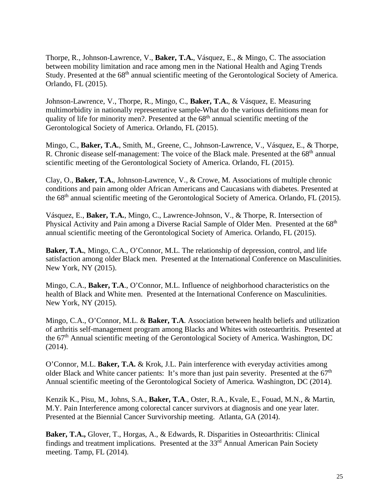Thorpe, R., Johnson-Lawrence, V., **Baker, T.A.**, Vásquez, E., & Mingo, C. The association between mobility limitation and race among men in the National Health and Aging Trends Study. Presented at the 68<sup>th</sup> annual scientific meeting of the Gerontological Society of America. Orlando, FL (2015).

Johnson-Lawrence, V., Thorpe, R., Mingo, C., **Baker, T.A.**, & Vásquez, E. Measuring multimorbidity in nationally representative sample-What do the various definitions mean for quality of life for minority men?. Presented at the  $68<sup>th</sup>$  annual scientific meeting of the Gerontological Society of America. Orlando, FL (2015).

Mingo, C., **Baker, T.A.**, Smith, M., Greene, C., Johnson-Lawrence, V., Vásquez, E., & Thorpe, R. Chronic disease self-management: The voice of the Black male. Presented at the  $68<sup>th</sup>$  annual scientific meeting of the Gerontological Society of America. Orlando, FL (2015).

Clay, O., **Baker, T.A.**, Johnson-Lawrence, V., & Crowe, M. Associations of multiple chronic conditions and pain among older African Americans and Caucasians with diabetes. Presented at the 68th annual scientific meeting of the Gerontological Society of America. Orlando, FL (2015).

Vásquez, E., **Baker, T.A.**, Mingo, C., Lawrence-Johnson, V., & Thorpe, R. Intersection of Physical Activity and Pain among a Diverse Racial Sample of Older Men. Presented at the 68<sup>th</sup> annual scientific meeting of the Gerontological Society of America. Orlando, FL (2015).

**Baker, T.A.**, Mingo, C.A., O'Connor, M.L. The relationship of depression, control, and life satisfaction among older Black men. Presented at the International Conference on Masculinities. New York, NY (2015).

Mingo, C.A., **Baker, T.A**., O'Connor, M.L. Influence of neighborhood characteristics on the health of Black and White men. Presented at the International Conference on Masculinities. New York, NY (2015).

Mingo, C.A., O'Connor, M.L. & **Baker, T.A**. Association between health beliefs and utilization of arthritis self-management program among Blacks and Whites with osteoarthritis. Presented at the 67th Annual scientific meeting of the Gerontological Society of America. Washington, DC  $(2014)$ .

O'Connor, M.L. **Baker, T.A.** & Krok, J.L. Pain interference with everyday activities among older Black and White cancer patients: It's more than just pain severity. Presented at the 67<sup>th</sup> Annual scientific meeting of the Gerontological Society of America. Washington, DC (2014).

Kenzik K., Pisu, M., Johns, S.A., **Baker, T.A**., Oster, R.A., Kvale, E., Fouad, M.N., & Martin, M.Y. Pain Interference among colorectal cancer survivors at diagnosis and one year later. Presented at the Biennial Cancer Survivorship meeting. Atlanta, GA (2014).

**Baker, T.A.,** Glover, T., Horgas, A., & Edwards, R. Disparities in Osteoarthritis: Clinical findings and treatment implications. Presented at the  $33<sup>rd</sup>$  Annual American Pain Society meeting. Tamp, FL (2014).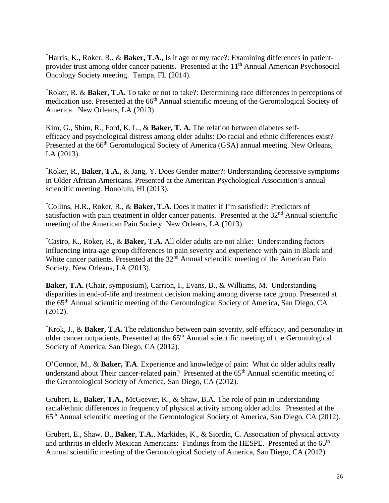\* Harris, K., Roker, R., & **Baker, T.A.**, Is it age or my race?: Examining differences in patientprovider trust among older cancer patients. Presented at the 11<sup>th</sup> Annual American Psychosocial Oncology Society meeting. Tampa, FL (2014).

\* Roker, R. & **Baker, T.A.** To take or not to take?: Determining race differences in perceptions of medication use. Presented at the 66<sup>th</sup> Annual scientific meeting of the Gerontological Society of America. New Orleans, LA (2013).

Kim, G., Shim, R., Ford, K. L., & **Baker, T. A.** The relation between diabetes selfefficacy and psychological distress among older adults: Do racial and ethnic differences exist? Presented at the 66<sup>th</sup> Gerontological Society of America (GSA) annual meeting. New Orleans, LA (2013).

\* Roker, R., **Baker, T.A.**, & Jang, Y. Does Gender matter?: Understanding depressive symptoms in Older African Americans. Presented at the American Psychological Association's annual scientific meeting. Honolulu, HI (2013).

\* Collins, H.R., Roker, R., & **Baker, T.A.** Does it matter if I'm satisfied?: Predictors of satisfaction with pain treatment in older cancer patients. Presented at the  $32<sup>nd</sup>$  Annual scientific meeting of the American Pain Society. New Orleans, LA (2013).

\* Castro, K., Roker, R., & **Baker, T.A.** All older adults are not alike: Understanding factors influencing intra-age group differences in pain severity and experience with pain in Black and White cancer patients. Presented at the 32<sup>nd</sup> Annual scientific meeting of the American Pain Society. New Orleans, LA (2013).

**Baker, T.A.** (Chair, symposium), Carrion, I., Evans, B., & Williams, M. Understanding disparities in end-of-life and treatment decision making among diverse race group. Presented at the 65th Annual scientific meeting of the Gerontological Society of America, San Diego, CA (2012).

\* Krok, J., & **Baker, T.A.** The relationship between pain severity, self-efficacy, and personality in older cancer outpatients. Presented at the 65<sup>th</sup> Annual scientific meeting of the Gerontological Society of America, San Diego, CA (2012).

O'Connor, M., & **Baker, T.A**. Experience and knowledge of pain: What do older adults really understand about Their cancer-related pain? Presented at the 65<sup>th</sup> Annual scientific meeting of the Gerontological Society of America, San Diego, CA (2012).

Grubert, E., **Baker, T.A.,** McGeever, K., & Shaw, B.A. The role of pain in understanding racial/ethnic differences in frequency of physical activity among older adults. Presented at the 65th Annual scientific meeting of the Gerontological Society of America, San Diego, CA (2012).

Grubert, E., Shaw. B., **Baker, T.A.**, Markides, K., & Siordia, C. Association of physical activity and arthritis in elderly Mexican Americans: Findings from the HESPE. Presented at the 65<sup>th</sup> Annual scientific meeting of the Gerontological Society of America, San Diego, CA (2012).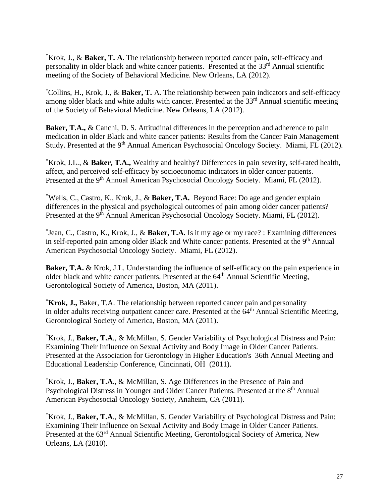\* Krok, J., & **Baker, T. A.** The relationship between reported cancer pain, self-efficacy and personality in older black and white cancer patients. Presented at the  $33<sup>rd</sup>$  Annual scientific meeting of the Society of Behavioral Medicine. New Orleans, LA (2012).

\* Collins, H., Krok, J., & **Baker, T.** A. The relationship between pain indicators and self-efficacy among older black and white adults with cancer. Presented at the 33<sup>rd</sup> Annual scientific meeting of the Society of Behavioral Medicine. New Orleans, LA (2012).

**Baker, T.A., & Canchi, D. S. Attitudinal differences in the perception and adherence to pain** medication in older Black and white cancer patients: Results from the Cancer Pain Management Study. Presented at the 9<sup>th</sup> Annual American Psychosocial Oncology Society. Miami, FL (2012).

**\*** Krok, J.L., & **Baker, T.A.,** Wealthy and healthy? Differences in pain severity, self-rated health, affect, and perceived self-efficacy by socioeconomic indicators in older cancer patients. Presented at the 9<sup>th</sup> Annual American Psychosocial Oncology Society. Miami, FL (2012).

**\*** Wells, C., Castro, K., Krok, J., & **Baker, T.A.** Beyond Race: Do age and gender explain differences in the physical and psychological outcomes of pain among older cancer patients? Presented at the 9<sup>th</sup> Annual American Psychosocial Oncology Society. Miami, FL (2012).

**\*** Jean, C., Castro, K., Krok, J., & **Baker, T.A.** Is it my age or my race? : Examining differences in self-reported pain among older Black and White cancer patients. Presented at the  $9<sup>th</sup>$  Annual American Psychosocial Oncology Society. Miami, FL (2012).

**Baker, T.A. & Krok, J.L. Understanding the influence of self-efficacy on the pain experience in** older black and white cancer patients. Presented at the 64<sup>th</sup> Annual Scientific Meeting, Gerontological Society of America, Boston, MA (2011).

**\* Krok, J.,** Baker, T.A. The relationship between reported cancer pain and personality in older adults receiving outpatient cancer care. Presented at the  $64<sup>th</sup>$  Annual Scientific Meeting, Gerontological Society of America, Boston, MA (2011).

\* Krok, J., **Baker, T.A**., & McMillan, S. Gender Variability of Psychological Distress and Pain: Examining Their Influence on Sexual Activity and Body Image in Older Cancer Patients. Presented at the Association for Gerontology in Higher Education's 36th Annual Meeting and Educational Leadership Conference, Cincinnati, OH (2011).

\* Krok, J., **Baker, T.A**., & McMillan, S. Age Differences in the Presence of Pain and Psychological Distress in Younger and Older Cancer Patients. Presented at the 8<sup>th</sup> Annual American Psychosocial Oncology Society, Anaheim, CA (2011).

\* Krok, J., **Baker, T.A**., & McMillan, S. Gender Variability of Psychological Distress and Pain: Examining Their Influence on Sexual Activity and Body Image in Older Cancer Patients. Presented at the 63<sup>rd</sup> Annual Scientific Meeting, Gerontological Society of America, New Orleans, LA (2010).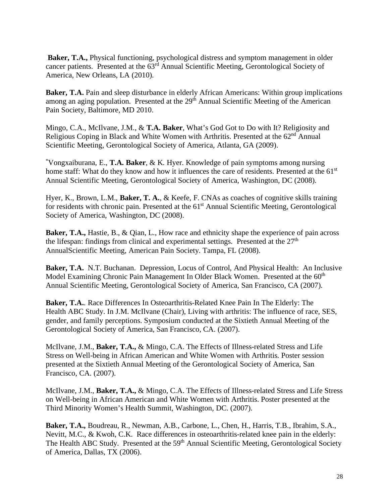**Baker, T.A.,** Physical functioning, psychological distress and symptom management in older cancer patients. Presented at the  $63<sup>rd</sup>$  Annual Scientific Meeting, Gerontological Society of America, New Orleans, LA (2010).

**Baker, T.A.** Pain and sleep disturbance in elderly African Americans: Within group implications among an aging population. Presented at the 29<sup>th</sup> Annual Scientific Meeting of the American Pain Society, Baltimore, MD 2010.

Mingo, C.A., McIlvane, J.M., & **T.A. Baker**, What's God Got to Do with It? Religiosity and Religious Coping in Black and White Women with Arthritis. Presented at the 62<sup>nd</sup> Annual Scientific Meeting, Gerontological Society of America, Atlanta, GA (2009).

\* Vongxaiburana, E., **T.A. Baker**, & K. Hyer. Knowledge of pain symptoms among nursing home staff: What do they know and how it influences the care of residents. Presented at the 61<sup>st</sup> Annual Scientific Meeting, Gerontological Society of America, Washington, DC (2008).

Hyer, K., Brown, L.M., **Baker, T. A.**, & Keefe, F. CNAs as coaches of cognitive skills training for residents with chronic pain. Presented at the 61<sup>st</sup> Annual Scientific Meeting, Gerontological Society of America, Washington, DC (2008).

**Baker, T.A., Hastie, B., & Qian, L., How race and ethnicity shape the experience of pain across** the lifespan: findings from clinical and experimental settings. Presented at the  $27<sup>th</sup>$ AnnualScientific Meeting, American Pain Society. Tampa, FL (2008).

**Baker, T.A.** N.T. Buchanan. Depression, Locus of Control, And Physical Health: An Inclusive Model Examining Chronic Pain Management In Older Black Women. Presented at the 60<sup>th</sup> Annual Scientific Meeting, Gerontological Society of America, San Francisco, CA (2007).

**Baker, T.A.**. Race Differences In Osteoarthritis-Related Knee Pain In The Elderly: The Health ABC Study. In J.M. McIlvane (Chair), Living with arthritis: The influence of race, SES, gender, and family perceptions. Symposium conducted at the Sixtieth Annual Meeting of the Gerontological Society of America, San Francisco, CA. (2007).

McIlvane, J.M., **Baker, T.A.,** & Mingo, C.A. The Effects of Illness-related Stress and Life Stress on Well-being in African American and White Women with Arthritis. Poster session presented at the Sixtieth Annual Meeting of the Gerontological Society of America, San Francisco, CA. (2007).

McIlvane, J.M., **Baker, T.A.,** & Mingo, C.A. The Effects of Illness-related Stress and Life Stress on Well-being in African American and White Women with Arthritis. Poster presented at the Third Minority Women's Health Summit, Washington, DC. (2007).

**Baker, T.A.,** Boudreau, R., Newman, A.B., Carbone, L., Chen, H., Harris, T.B., Ibrahim, S.A., Nevitt, M.C., & Kwoh, C.K. Race differences in osteoarthritis-related knee pain in the elderly: The Health ABC Study. Presented at the 59<sup>th</sup> Annual Scientific Meeting, Gerontological Society of America, Dallas, TX (2006).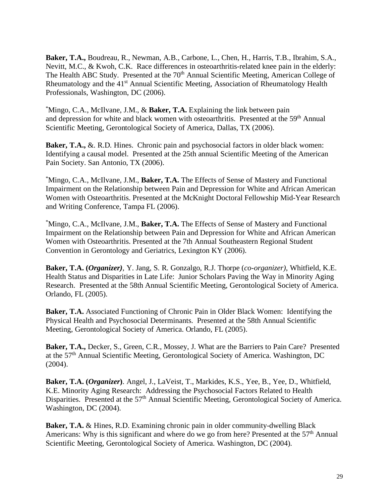**Baker, T.A.,** Boudreau, R., Newman, A.B., Carbone, L., Chen, H., Harris, T.B., Ibrahim, S.A., Nevitt, M.C., & Kwoh, C.K. Race differences in osteoarthritis-related knee pain in the elderly: The Health ABC Study. Presented at the 70<sup>th</sup> Annual Scientific Meeting, American College of Rheumatology and the 41<sup>st</sup> Annual Scientific Meeting, Association of Rheumatology Health Professionals, Washington, DC (2006).

\* Mingo, C.A., McIlvane, J.M., & **Baker, T.A.** Explaining the link between pain and depression for white and black women with osteoarthritis. Presented at the 59<sup>th</sup> Annual Scientific Meeting, Gerontological Society of America, Dallas, TX (2006).

**Baker, T.A., &. R.D. Hines.** Chronic pain and psychosocial factors in older black women: Identifying a causal model. Presented at the 25th annual Scientific Meeting of the American Pain Society. San Antonio, TX (2006).

\* Mingo, C.A., McIlvane, J.M., **Baker, T.A.** The Effects of Sense of Mastery and Functional Impairment on the Relationship between Pain and Depression for White and African American Women with Osteoarthritis. Presented at the McKnight Doctoral Fellowship Mid-Year Research and Writing Conference, Tampa FL (2006).

\* Mingo, C.A., McIlvane, J.M., **Baker, T.A.** The Effects of Sense of Mastery and Functional Impairment on the Relationship between Pain and Depression for White and African American Women with Osteoarthritis. Presented at the 7th Annual Southeastern Regional Student Convention in Gerontology and Geriatrics, Lexington KY (2006).

**Baker, T.A. (***Organizer)*, Y. Jang, S. R. Gonzalgo, R.J. Thorpe (*co-organizer)*, Whitfield, K.E. Health Status and Disparities in Late Life: Junior Scholars Paving the Way in Minority Aging Research. Presented at the 58th Annual Scientific Meeting, Gerontological Society of America. Orlando, FL (2005).

**Baker, T.A.** Associated Functioning of Chronic Pain in Older Black Women: Identifying the Physical Health and Psychosocial Determinants. Presented at the 58th Annual Scientific Meeting, Gerontological Society of America. Orlando, FL (2005).

**Baker, T.A.,** Decker, S., Green, C.R., Mossey, J. What are the Barriers to Pain Care? Presented at the 57th Annual Scientific Meeting, Gerontological Society of America. Washington, DC (2004).

**Baker, T.A. (***Organizer***)**. Angel, J., LaVeist, T., Markides, K.S., Yee, B., Yee, D., Whitfield, K.E. Minority Aging Research: Addressing the Psychosocial Factors Related to Health Disparities. Presented at the 57<sup>th</sup> Annual Scientific Meeting, Gerontological Society of America. Washington, DC (2004).

**Baker, T.A.** & Hines, R.D. Examining chronic pain in older community-dwelling Black Americans: Why is this significant and where do we go from here? Presented at the  $57<sup>th</sup>$  Annual Scientific Meeting, Gerontological Society of America. Washington, DC (2004).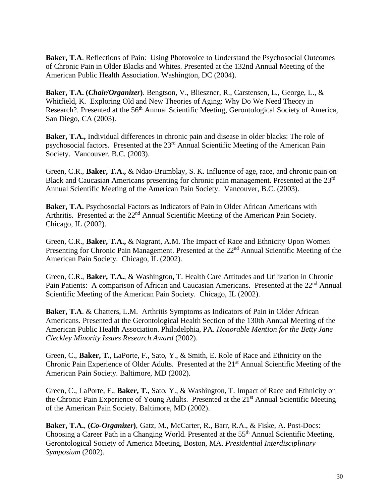**Baker, T.A**. Reflections of Pain: Using Photovoice to Understand the Psychosocial Outcomes of Chronic Pain in Older Blacks and Whites. Presented at the 132nd Annual Meeting of the American Public Health Association. Washington, DC (2004).

**Baker, T.A. (***Chair/Organizer***)**. Bengtson, V., Blieszner, R., Carstensen, L., George, L., & Whitfield, K. Exploring Old and New Theories of Aging: Why Do We Need Theory in Research?. Presented at the 56<sup>th</sup> Annual Scientific Meeting, Gerontological Society of America, San Diego, CA (2003).

**Baker, T.A.,** Individual differences in chronic pain and disease in older blacks: The role of psychosocial factors. Presented at the 23rd Annual Scientific Meeting of the American Pain Society. Vancouver, B.C. (2003).

Green, C.R., **Baker, T.A.,** & Ndao-Brumblay, S. K. Influence of age, race, and chronic pain on Black and Caucasian Americans presenting for chronic pain management. Presented at the 23rd Annual Scientific Meeting of the American Pain Society. Vancouver, B.C. (2003).

**Baker, T.A.** Psychosocial Factors as Indicators of Pain in Older African Americans with Arthritis. Presented at the 22<sup>nd</sup> Annual Scientific Meeting of the American Pain Society. Chicago, IL (2002).

Green, C.R., **Baker, T.A.,** & Nagrant, A.M. The Impact of Race and Ethnicity Upon Women Presenting for Chronic Pain Management. Presented at the 22<sup>nd</sup> Annual Scientific Meeting of the American Pain Society. Chicago, IL (2002).

Green, C.R., **Baker, T.A.**, & Washington, T. Health Care Attitudes and Utilization in Chronic Pain Patients: A comparison of African and Caucasian Americans. Presented at the 22<sup>nd</sup> Annual Scientific Meeting of the American Pain Society. Chicago, IL (2002).

**Baker, T.A**. & Chatters, L.M. Arthritis Symptoms as Indicators of Pain in Older African Americans. Presented at the Gerontological Health Section of the 130th Annual Meeting of the American Public Health Association. Philadelphia, PA. *Honorable Mention for the Betty Jane Cleckley Minority Issues Research Award* (2002).

Green, C., **Baker, T.**, LaPorte, F., Sato, Y., & Smith, E. Role of Race and Ethnicity on the Chronic Pain Experience of Older Adults. Presented at the 21<sup>st</sup> Annual Scientific Meeting of the American Pain Society. Baltimore, MD (2002).

Green, C., LaPorte, F., **Baker, T.**, Sato, Y., & Washington, T. Impact of Race and Ethnicity on the Chronic Pain Experience of Young Adults. Presented at the 21<sup>st</sup> Annual Scientific Meeting of the American Pain Society. Baltimore, MD (2002).

**Baker, T.A.**, **(***Co-Organizer***)**, Gatz, M., McCarter, R., Barr, R.A., & Fiske, A. Post-Docs: Choosing a Career Path in a Changing World. Presented at the 55<sup>th</sup> Annual Scientific Meeting, Gerontological Society of America Meeting, Boston, MA. *Presidential Interdisciplinary Symposium* (2002).